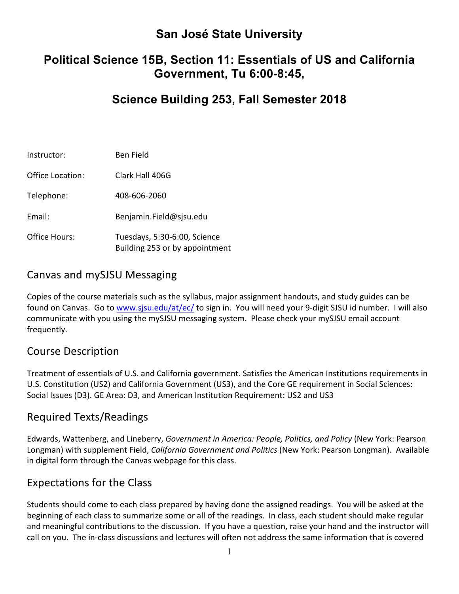# **San José State University**

# **Political Science 15B, Section 11: Essentials of US and California Government, Tu 6:00-8:45,**

# **Science Building 253, Fall Semester 2018**

| Instructor:      | Ben Field                                                      |
|------------------|----------------------------------------------------------------|
| Office Location: | Clark Hall 406G                                                |
| Telephone:       | 408-606-2060                                                   |
| Fmail:           | Benjamin.Field@sjsu.edu                                        |
| Office Hours:    | Tuesdays, 5:30-6:00, Science<br>Building 253 or by appointment |

### Canvas and mySJSU Messaging

Copies of the course materials such as the syllabus, major assignment handouts, and study guides can be found on Canvas. Go to www.sjsu.edu/at/ec/ to sign in. You will need your 9-digit SJSU id number. I will also communicate with you using the mySJSU messaging system. Please check your mySJSU email account frequently. 

#### Course Description

Treatment of essentials of U.S. and California government. Satisfies the American Institutions requirements in U.S. Constitution (US2) and California Government (US3), and the Core GE requirement in Social Sciences: Social Issues (D3). GE Area: D3, and American Institution Requirement: US2 and US3

#### Required Texts/Readings

Edwards, Wattenberg, and Lineberry, *Government in America: People, Politics, and Policy* (New York: Pearson Longman) with supplement Field, *California Government and Politics* (New York: Pearson Longman). Available in digital form through the Canvas webpage for this class.

## Expectations for the Class

Students should come to each class prepared by having done the assigned readings. You will be asked at the beginning of each class to summarize some or all of the readings. In class, each student should make regular and meaningful contributions to the discussion. If you have a question, raise your hand and the instructor will call on you. The in-class discussions and lectures will often not address the same information that is covered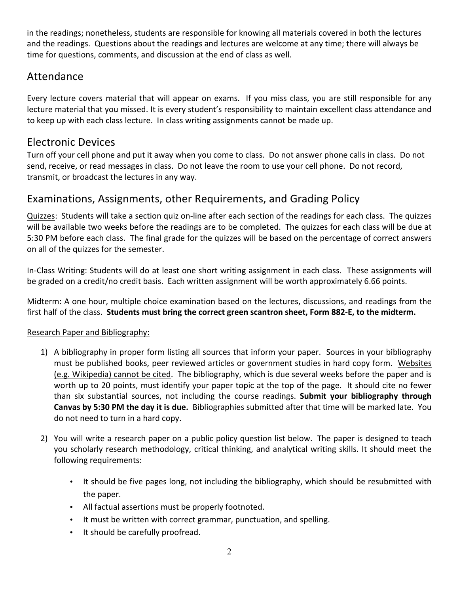in the readings; nonetheless, students are responsible for knowing all materials covered in both the lectures and the readings. Questions about the readings and lectures are welcome at any time; there will always be time for questions, comments, and discussion at the end of class as well.

### Attendance

Every lecture covers material that will appear on exams. If you miss class, you are still responsible for any lecture material that you missed. It is every student's responsibility to maintain excellent class attendance and to keep up with each class lecture. In class writing assignments cannot be made up.

## Electronic Devices

Turn off your cell phone and put it away when you come to class. Do not answer phone calls in class. Do not send, receive, or read messages in class. Do not leave the room to use your cell phone. Do not record, transmit, or broadcast the lectures in any way.

## Examinations, Assignments, other Requirements, and Grading Policy

Quizzes: Students will take a section quiz on-line after each section of the readings for each class. The quizzes will be available two weeks before the readings are to be completed. The quizzes for each class will be due at 5:30 PM before each class. The final grade for the quizzes will be based on the percentage of correct answers on all of the quizzes for the semester.

In-Class Writing: Students will do at least one short writing assignment in each class. These assignments will be graded on a credit/no credit basis. Each written assignment will be worth approximately 6.66 points.

Midterm: A one hour, multiple choice examination based on the lectures, discussions, and readings from the first half of the class. Students must bring the correct green scantron sheet, Form 882-E, to the midterm.

#### Research Paper and Bibliography:

- 1) A bibliography in proper form listing all sources that inform your paper. Sources in your bibliography must be published books, peer reviewed articles or government studies in hard copy form. Websites (e.g. Wikipedia) cannot be cited. The bibliography, which is due several weeks before the paper and is worth up to 20 points, must identify your paper topic at the top of the page. It should cite no fewer than six substantial sources, not including the course readings. Submit your bibliography through **Canvas by 5:30 PM the day it is due.** Bibliographies submitted after that time will be marked late. You do not need to turn in a hard copy.
- 2) You will write a research paper on a public policy question list below. The paper is designed to teach you scholarly research methodology, critical thinking, and analytical writing skills. It should meet the following requirements:
	- It should be five pages long, not including the bibliography, which should be resubmitted with the paper.
	- All factual assertions must be properly footnoted.
	- It must be written with correct grammar, punctuation, and spelling.
	- It should be carefully proofread.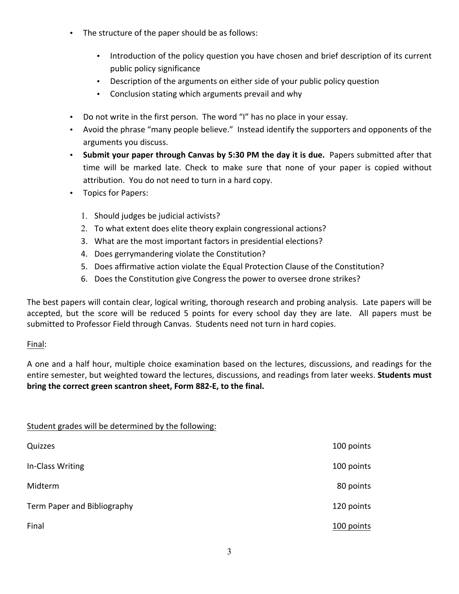- The structure of the paper should be as follows:
	- Introduction of the policy question you have chosen and brief description of its current public policy significance
	- Description of the arguments on either side of your public policy question
	- Conclusion stating which arguments prevail and why
- Do not write in the first person. The word "I" has no place in your essay.
- Avoid the phrase "many people believe." Instead identify the supporters and opponents of the arguments you discuss.
- Submit your paper through Canvas by 5:30 PM the day it is due. Papers submitted after that time will be marked late. Check to make sure that none of your paper is copied without attribution. You do not need to turn in a hard copy.
- Topics for Papers:

Student grades will be determined by the following:

- 1. Should judges be judicial activists?
- 2. To what extent does elite theory explain congressional actions?
- 3. What are the most important factors in presidential elections?
- 4. Does gerrymandering violate the Constitution?
- 5. Does affirmative action violate the Equal Protection Clause of the Constitution?
- 6. Does the Constitution give Congress the power to oversee drone strikes?

The best papers will contain clear, logical writing, thorough research and probing analysis. Late papers will be accepted, but the score will be reduced 5 points for every school day they are late. All papers must be submitted to Professor Field through Canvas. Students need not turn in hard copies.

#### Final:

A one and a half hour, multiple choice examination based on the lectures, discussions, and readings for the entire semester, but weighted toward the lectures, discussions, and readings from later weeks. **Students must** bring the correct green scantron sheet, Form 882-E, to the final.

| - 12<br>$\cdot$             |            |
|-----------------------------|------------|
| Quizzes                     | 100 points |
| In-Class Writing            | 100 points |
| Midterm                     | 80 points  |
| Term Paper and Bibliography | 120 points |
| Final                       | 100 points |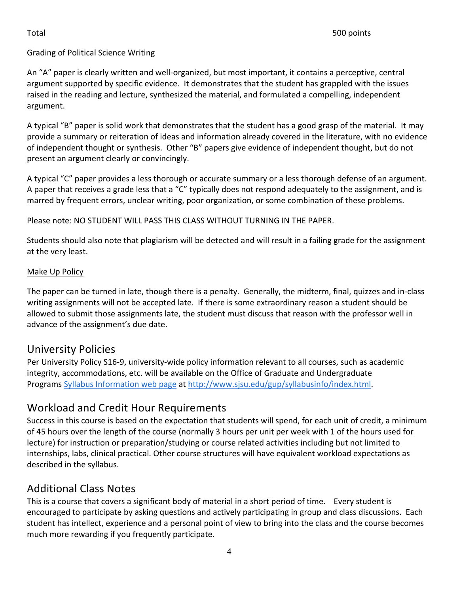#### Grading of Political Science Writing

An "A" paper is clearly written and well-organized, but most important, it contains a perceptive, central argument supported by specific evidence. It demonstrates that the student has grappled with the issues raised in the reading and lecture, synthesized the material, and formulated a compelling, independent argument.

A typical "B" paper is solid work that demonstrates that the student has a good grasp of the material. It may provide a summary or reiteration of ideas and information already covered in the literature, with no evidence of independent thought or synthesis. Other "B" papers give evidence of independent thought, but do not present an argument clearly or convincingly.

A typical "C" paper provides a less thorough or accurate summary or a less thorough defense of an argument. A paper that receives a grade less that a "C" typically does not respond adequately to the assignment, and is marred by frequent errors, unclear writing, poor organization, or some combination of these problems.

Please note: NO STUDENT WILL PASS THIS CLASS WITHOUT TURNING IN THE PAPER.

Students should also note that plagiarism will be detected and will result in a failing grade for the assignment at the very least.

#### Make Up Policy

The paper can be turned in late, though there is a penalty. Generally, the midterm, final, quizzes and in-class writing assignments will not be accepted late. If there is some extraordinary reason a student should be allowed to submit those assignments late, the student must discuss that reason with the professor well in advance of the assignment's due date.

## University Policies

Per University Policy S16-9, university-wide policy information relevant to all courses, such as academic integrity, accommodations, etc. will be available on the Office of Graduate and Undergraduate Programs Syllabus Information web page at http://www.sjsu.edu/gup/syllabusinfo/index.html.

## Workload and Credit Hour Requirements

Success in this course is based on the expectation that students will spend, for each unit of credit, a minimum of 45 hours over the length of the course (normally 3 hours per unit per week with 1 of the hours used for lecture) for instruction or preparation/studying or course related activities including but not limited to internships, labs, clinical practical. Other course structures will have equivalent workload expectations as described in the syllabus.

## **Additional Class Notes**

This is a course that covers a significant body of material in a short period of time. Every student is encouraged to participate by asking questions and actively participating in group and class discussions. Each student has intellect, experience and a personal point of view to bring into the class and the course becomes much more rewarding if you frequently participate.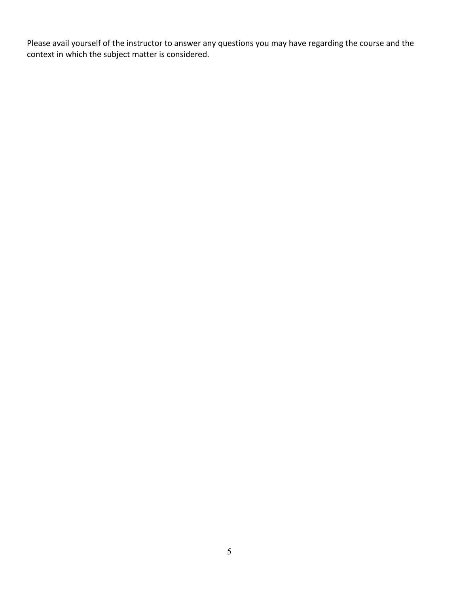Please avail yourself of the instructor to answer any questions you may have regarding the course and the context in which the subject matter is considered.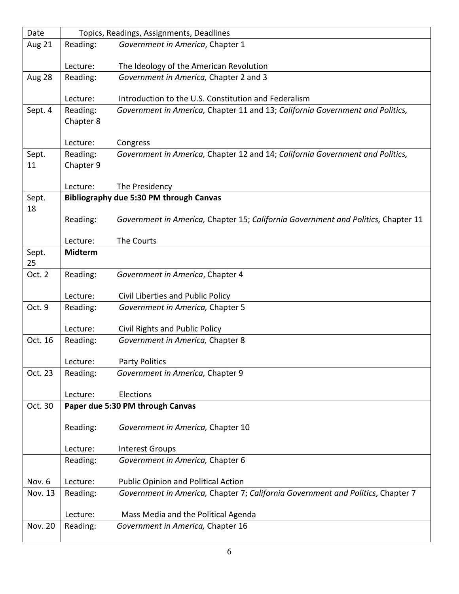| Date           | Topics, Readings, Assignments, Deadlines       |                                                                                   |  |
|----------------|------------------------------------------------|-----------------------------------------------------------------------------------|--|
| Aug 21         | Reading:                                       | Government in America, Chapter 1                                                  |  |
|                | Lecture:                                       | The Ideology of the American Revolution                                           |  |
| Aug 28         | Reading:                                       | Government in America, Chapter 2 and 3                                            |  |
|                |                                                |                                                                                   |  |
|                | Lecture:                                       | Introduction to the U.S. Constitution and Federalism                              |  |
| Sept. 4        | Reading:                                       | Government in America, Chapter 11 and 13; California Government and Politics,     |  |
|                | Chapter 8                                      |                                                                                   |  |
|                | Lecture:                                       | Congress                                                                          |  |
| Sept.          | Reading:                                       | Government in America, Chapter 12 and 14; California Government and Politics,     |  |
| 11             | Chapter 9                                      |                                                                                   |  |
|                | Lecture:                                       | The Presidency                                                                    |  |
| Sept.          | <b>Bibliography due 5:30 PM through Canvas</b> |                                                                                   |  |
| 18             |                                                |                                                                                   |  |
|                | Reading:                                       | Government in America, Chapter 15; California Government and Politics, Chapter 11 |  |
|                | Lecture:                                       | The Courts                                                                        |  |
| Sept.          | <b>Midterm</b>                                 |                                                                                   |  |
| 25             |                                                |                                                                                   |  |
| Oct. 2         | Reading:                                       | Government in America, Chapter 4                                                  |  |
|                | Lecture:                                       | Civil Liberties and Public Policy                                                 |  |
| Oct. 9         | Reading:                                       | Government in America, Chapter 5                                                  |  |
|                |                                                |                                                                                   |  |
|                | Lecture:                                       | Civil Rights and Public Policy                                                    |  |
| Oct. 16        | Reading:                                       | Government in America, Chapter 8                                                  |  |
|                | Lecture:                                       | <b>Party Politics</b>                                                             |  |
| Oct. 23        | Reading:                                       | Government in America, Chapter 9                                                  |  |
|                |                                                |                                                                                   |  |
|                | Lecture:                                       | Elections                                                                         |  |
| Oct. 30        |                                                | Paper due 5:30 PM through Canvas                                                  |  |
|                | Reading:                                       | Government in America, Chapter 10                                                 |  |
|                |                                                |                                                                                   |  |
|                | Lecture:                                       | <b>Interest Groups</b>                                                            |  |
|                | Reading:                                       | Government in America, Chapter 6                                                  |  |
| Nov. 6         | Lecture:                                       | <b>Public Opinion and Political Action</b>                                        |  |
| Nov. 13        | Reading:                                       | Government in America, Chapter 7; California Government and Politics, Chapter 7   |  |
|                |                                                |                                                                                   |  |
|                | Lecture:                                       | Mass Media and the Political Agenda                                               |  |
| <b>Nov. 20</b> | Reading:                                       | Government in America, Chapter 16                                                 |  |
|                |                                                |                                                                                   |  |